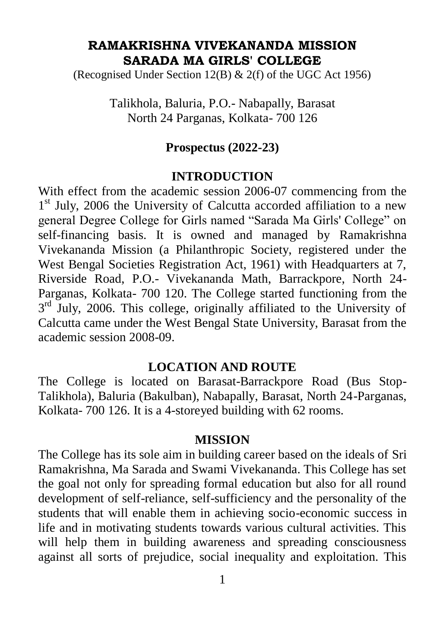### **RAMAKRISHNA VIVEKANANDA MISSION SARADA MA GIRLS' COLLEGE**

(Recognised Under Section 12(B) & 2(f) of the UGC Act 1956)

Talikhola, Baluria, P.O.- Nabapally, Barasat North 24 Parganas, Kolkata- 700 126

#### **Prospectus (2022-23)**

#### **INTRODUCTION**

With effect from the academic session 2006-07 commencing from the 1<sup>st</sup> July, 2006 the University of Calcutta accorded affiliation to a new general Degree College for Girls named "Sarada Ma Girls' College" on self-financing basis. It is owned and managed by Ramakrishna Vivekananda Mission (a Philanthropic Society, registered under the West Bengal Societies Registration Act, 1961) with Headquarters at 7, Riverside Road, P.O.- Vivekananda Math, Barrackpore, North 24- Parganas, Kolkata- 700 120. The College started functioning from the 3<sup>rd</sup> July, 2006. This college, originally affiliated to the University of Calcutta came under the West Bengal State University, Barasat from the academic session 2008-09.

### **LOCATION AND ROUTE**

The College is located on Barasat-Barrackpore Road (Bus Stop-Talikhola), Baluria (Bakulban), Nabapally, Barasat, North 24-Parganas, Kolkata- 700 126. It is a 4-storeyed building with 62 rooms.

#### **MISSION**

The College has its sole aim in building career based on the ideals of Sri Ramakrishna, Ma Sarada and Swami Vivekananda. This College has set the goal not only for spreading formal education but also for all round development of self-reliance, self-sufficiency and the personality of the students that will enable them in achieving socio-economic success in life and in motivating students towards various cultural activities. This will help them in building awareness and spreading consciousness against all sorts of prejudice, social inequality and exploitation. This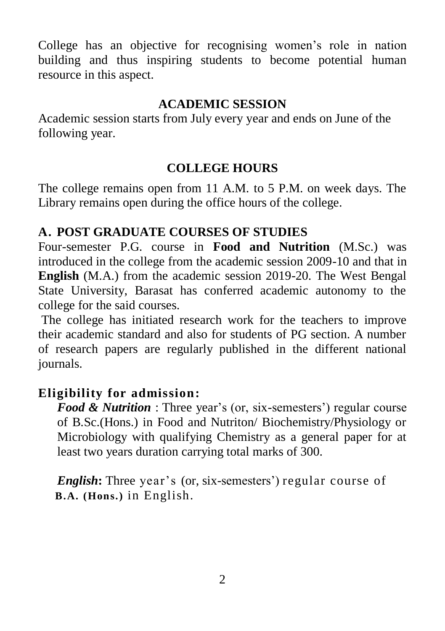College has an objective for recognising women"s role in nation building and thus inspiring students to become potential human resource in this aspect.

# **ACADEMIC SESSION**

Academic session starts from July every year and ends on June of the following year.

# **COLLEGE HOURS**

The college remains open from 11 A.M. to 5 P.M. on week days. The Library remains open during the office hours of the college.

# **A. POST GRADUATE COURSES OF STUDIES**

Four-semester P.G. course in **Food and Nutrition** (M.Sc.) was introduced in the college from the academic session 2009-10 and that in **English** (M.A.) from the academic session 2019-20. The West Bengal State University, Barasat has conferred academic autonomy to the college for the said courses.

The college has initiated research work for the teachers to improve their academic standard and also for students of PG section. A number of research papers are regularly published in the different national journals.

# **Eligibility for admission:**

*Food & Nutrition* : Three year's (or, six-semesters') regular course of B.Sc.(Hons.) in Food and Nutriton/ Biochemistry/Physiology or Microbiology with qualifying Chemistry as a general paper for at least two years duration carrying total marks of 300.

*English*: Three year's (or, six-semesters') regular course of  **B.A. (Hons.)** in English.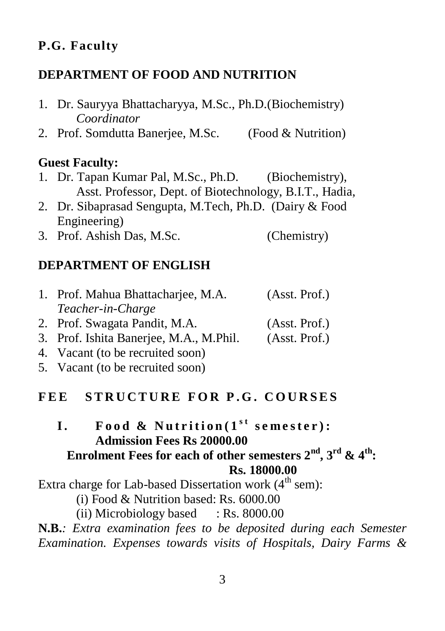### **P.G. Faculty**

#### **DEPARTMENT OF FOOD AND NUTRITION**

- 1. Dr. Sauryya Bhattacharyya, M.Sc., Ph.D.(Biochemistry) *Coordinator*
- 2. Prof. Somdutta Banerjee, M.Sc. (Food & Nutrition)

#### **Guest Faculty:**

- 1. Dr. Tapan Kumar Pal, M.Sc., Ph.D. (Biochemistry), Asst. Professor, Dept. of Biotechnology, B.I.T., Hadia,
- 2. Dr. Sibaprasad Sengupta, M.Tech, Ph.D. (Dairy & Food Engineering)
- 3. Prof. Ashish Das, M.Sc. (Chemistry)

#### **DEPARTMENT OF ENGLISH**

| 1. Prof. Mahua Bhattacharjee, M.A. | (Asst. Prof.) |
|------------------------------------|---------------|
| Teacher-in-Charge                  |               |
| 2. Prof. Swagata Pandit, M.A.      | (Asst. Prof.) |

- 3. Prof. Ishita Banerjee, M.A., M.Phil. (Asst. Prof.)
- 4. Vacant (to be recruited soon)
- 5. Vacant (to be recruited soon)

### **F E E S T R U C T U R E F O R P . G . C O U R S E S**

### $\mathbf{I}$ . **Food & Nutrition** $(\mathbf{1}^{\text{st}} \text{ semester})$ : **Admission Fees Rs 20000.00 Enrolment Fees for each of other semesters 2nd, 3rd & 4th: Rs. 18000.00**

Extra charge for Lab-based Dissertation work  $(4<sup>th</sup>$  sem):

(i) Food & Nutrition based: Rs. 6000.00

(ii) Microbiology based  $\therefore$  Rs. 8000.00

**N.B.***: Extra examination fees to be deposited during each Semester Examination. Expenses towards visits of Hospitals, Dairy Farms &*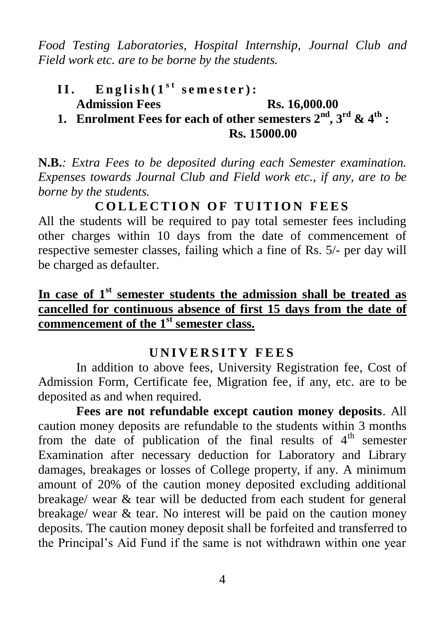*Food Testing Laboratories, Hospital Internship, Journal Club and Field work etc. are to be borne by the students.*

# II. **English**( $1^{st}$  semester): **Admission Fees Rs. 16,000.00**

**1. Enrolment Fees for each of other semesters**  $2^{nd}$ **,**  $3^{rd}$  **&**  $4^{th}$  **<b>: Rs. 15000.00** 

**N.B.***: Extra Fees to be deposited during each Semester examination. Expenses towards Journal Club and Field work etc., if any, are to be borne by the students.*

**C O L L E C T I O N O F T U IT I O N F E E S**

All the students will be required to pay total semester fees including other charges within 10 days from the date of commencement of respective semester classes, failing which a fine of Rs. 5/- per day will be charged as defaulter.

# **In case of 1st semester students the admission shall be treated as cancelled for continuous absence of first 15 days from the date of commencement of the 1st semester class.**

# **U N I V E R S I T Y F E E S**

In addition to above fees, University Registration fee, Cost of Admission Form, Certificate fee, Migration fee, if any, etc. are to be deposited as and when required.

**Fees are not refundable except caution money deposits**. All caution money deposits are refundable to the students within 3 months from the date of publication of the final results of  $4<sup>th</sup>$  semester Examination after necessary deduction for Laboratory and Library damages, breakages or losses of College property, if any. A minimum amount of 20% of the caution money deposited excluding additional breakage/ wear & tear will be deducted from each student for general breakage/ wear & tear. No interest will be paid on the caution money deposits. The caution money deposit shall be forfeited and transferred to the Principal"s Aid Fund if the same is not withdrawn within one year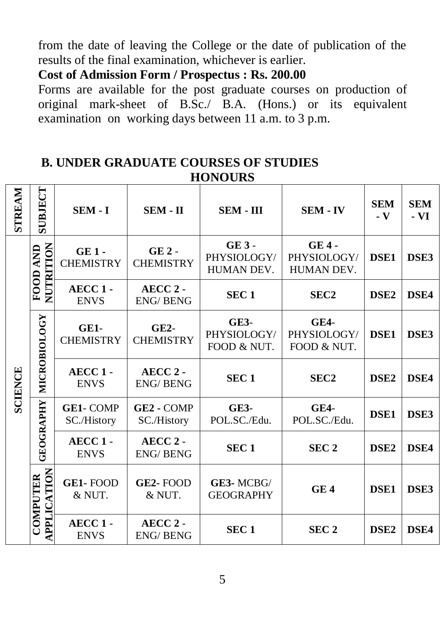from the date of leaving the College or the date of publication of the results of the final examination, whichever is earlier.

# **Cost of Admission Form / Prospectus : Rs. 200.00**

Forms are available for the post graduate courses on production of original mark-sheet of B.Sc./ B.A. (Hons.) or its equivalent examination on working days between 11 a.m. to 3 p.m.

### **B. UNDER GRADUATE COURSES OF STUDIES HONOURS**

| STREAM         | SUBJECT                        | SEM - I                            | SEM - II                               | SEM - III                            | <b>SEM - IV</b>                      | <b>SEM</b><br>$\mathbf{-} \mathbf{V}$ | <b>SEM</b><br>- VI |
|----------------|--------------------------------|------------------------------------|----------------------------------------|--------------------------------------|--------------------------------------|---------------------------------------|--------------------|
| <b>SCIENCE</b> | NUTRITION<br>AND               | $GE1 -$<br><b>CHEMISTRY</b>        | $GE2 -$<br><b>CHEMISTRY</b>            | $GE3 -$<br>PHYSIOLOGY/<br>HUMAN DEV. | $GE4 -$<br>PHYSIOLOGY/<br>HUMAN DEV. | DSE <sub>1</sub>                      | DSE3               |
|                | FOOD                           | AECC <sub>1</sub> -<br><b>ENVS</b> | $AECC2 -$<br><b>ENG/BENG</b>           | SEC <sub>1</sub>                     | SEC <sub>2</sub>                     | DSE <sub>2</sub>                      | DSE4               |
|                | <b>MICROBIOLOGY</b>            | GE1-<br><b>CHEMISTRY</b>           | $GE2-$<br><b>CHEMISTRY</b>             | $GE3-$<br>PHYSIOLOGY/<br>FOOD & NUT. | $GE4-$<br>PHYSIOLOGY/<br>FOOD & NUT. | <b>DSE1</b>                           | DSE3               |
|                |                                | $AECC1 -$<br><b>ENVS</b>           | AECC <sub>2</sub> -<br><b>ENG/BENG</b> | SEC <sub>1</sub>                     | SEC <sub>2</sub>                     | DSE <sub>2</sub>                      | DSE4               |
|                | <b>GEOGRAPHY</b>               | <b>GE1-COMP</b><br>SC./History     | GE <sub>2</sub> - COMP<br>SC./History  | $GE3-$<br>POL.SC./Edu.               | $GE4-$<br>POL.SC./Edu.               | DSE <sub>1</sub>                      | DSE3               |
|                |                                | AECC <sub>1</sub> -<br><b>ENVS</b> | AECC <sub>2</sub> -<br><b>ENG/BENG</b> | SEC <sub>1</sub>                     | SEC <sub>2</sub>                     | DSE <sub>2</sub>                      | DSE4               |
|                | <b>APPLICATION</b><br>COMPUTER | <b>GE1-FOOD</b><br>& NUT.          | <b>GE2-FOOD</b><br>& NUT.              | GE3-MCBG/<br><b>GEOGRAPHY</b>        | GE4                                  | <b>DSE1</b>                           | DSE3               |
|                |                                | AECC <sub>1</sub> -<br><b>ENVS</b> | AECC <sub>2</sub> -<br><b>ENG/BENG</b> | SEC <sub>1</sub>                     | SEC <sub>2</sub>                     | DSE <sub>2</sub>                      | DSE4               |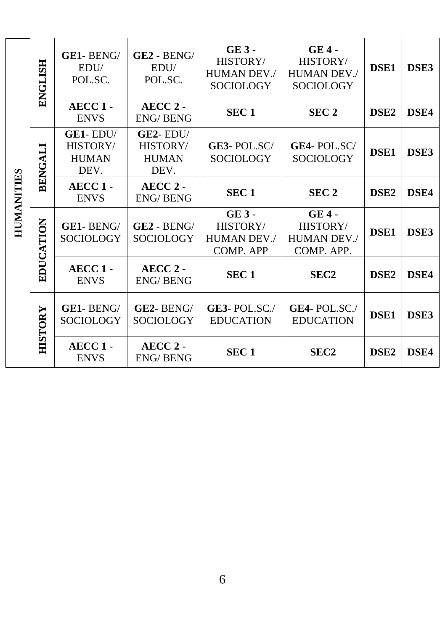| <b>HUMANITES</b> | <b>ENGLISH</b> | GE1-BENG/<br>EDU/<br>POL.SC.                     | GE2 - BENG/<br>EDU/<br>POL.SC.                 | $GE3 -$<br>HISTORY/<br><b>HUMAN DEV./</b><br>SOCIOLOGY | <b>GE4-</b><br>HISTORY/<br><b>HUMAN DEV./</b><br>SOCIOLOGY | DSE <sub>1</sub> | DSE3        |
|------------------|----------------|--------------------------------------------------|------------------------------------------------|--------------------------------------------------------|------------------------------------------------------------|------------------|-------------|
|                  |                | $AECC1 -$<br><b>ENVS</b>                         | AECC <sub>2</sub> -<br><b>ENG/BENG</b>         | SEC <sub>1</sub>                                       | SEC <sub>2</sub>                                           | DSE <sub>2</sub> | DSE4        |
|                  | BENGALI        | $GE1 - EDU/$<br>HISTORY/<br><b>HUMAN</b><br>DEV. | $GE2-EDU/$<br>HISTORY/<br><b>HUMAN</b><br>DEV. | GE3-POL.SC/<br>SOCIOLOGY                               | <b>GE4-POL.SC/</b><br>SOCIOLOGY                            | DSE <sub>1</sub> | DSE3        |
|                  |                | $AECC1 -$<br><b>ENVS</b>                         | AECC <sub>2</sub> -<br><b>ENG/BENG</b>         | SEC <sub>1</sub>                                       | SEC <sub>2</sub>                                           | DSE <sub>2</sub> | DSE4        |
|                  | EDUCATION      | GE1-BENG/<br>SOCIOLOGY                           | $GE2 - BENG/$<br><b>SOCIOLOGY</b>              | $GE3 -$<br>HISTORY/<br><b>HUMAN DEV./</b><br>COMP. APP | $GE4 -$<br>HISTORY/<br><b>HUMAN DEV./</b><br>COMP. APP.    | <b>DSE1</b>      | DSE3        |
|                  |                | $AECC1 -$<br><b>ENVS</b>                         | AECC <sub>2</sub> -<br><b>ENG/BENG</b>         | SEC <sub>1</sub>                                       | SEC <sub>2</sub>                                           | DSE <sub>2</sub> | DSE4        |
|                  | HISTORY        | GE1-BENG/<br>SOCIOLOGY                           | GE2-BENG/<br>SOCIOLOGY                         | GE3-POL.SC. $/$<br><b>EDUCATION</b>                    | GE4-POL.SC./<br><b>EDUCATION</b>                           | DSE <sub>1</sub> | DSE3        |
|                  |                | $AECC1 -$<br><b>ENVS</b>                         | AECC <sub>2</sub> -<br><b>ENG/BENG</b>         | SEC <sub>1</sub>                                       | SEC <sub>2</sub>                                           | DSE <sub>2</sub> | <b>DSE4</b> |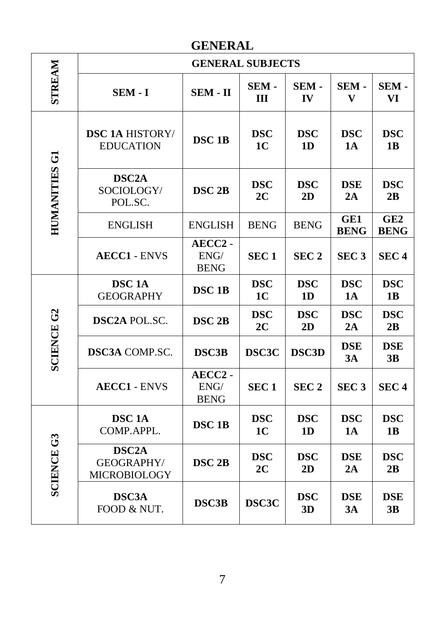# **GENERAL**

|                     |                                                  | <b>GENERAL SUBJECTS</b>                               |                              |                              |                         |                                |  |  |
|---------------------|--------------------------------------------------|-------------------------------------------------------|------------------------------|------------------------------|-------------------------|--------------------------------|--|--|
| <b>STREAM</b>       | SEM - I                                          | SEM - II                                              | SEM -<br>III                 | SEM-<br>IV                   | SEM-<br>V               | SEM-<br>VI                     |  |  |
|                     | <b>DSC 1A HISTORY/</b><br><b>EDUCATION</b>       | <b>DSC 1B</b>                                         | <b>DSC</b><br>1 <sub>C</sub> | <b>DSC</b><br>1 <sub>D</sub> | <b>DSC</b><br>1A        | <b>DSC</b><br>1B               |  |  |
| <b>HUMANITES G1</b> | DSC <sub>2</sub> A<br>SOCIOLOGY/<br>POL.SC.      | DSC <sub>2B</sub>                                     | <b>DSC</b><br>2C             | <b>DSC</b><br>2D             | <b>DSE</b><br>2A        | <b>DSC</b><br>2B               |  |  |
|                     | <b>ENGLISH</b>                                   | <b>ENGLISH</b>                                        | <b>BENG</b>                  | <b>BENG</b>                  | GE1<br><b>BENG</b>      | GE <sub>2</sub><br><b>BENG</b> |  |  |
|                     | <b>AECC1 - ENVS</b>                              | AECC2 -<br>ENG/<br><b>BENG</b>                        | SEC <sub>1</sub>             | SEC <sub>2</sub>             | SEC <sub>3</sub>        | SEC <sub>4</sub>               |  |  |
|                     | DSC <sub>1</sub> A<br><b>GEOGRAPHY</b>           | DSC <sub>1B</sub>                                     | <b>DSC</b><br>1 <sub>C</sub> | <b>DSC</b><br>1D             | <b>DSC</b><br>1A        | <b>DSC</b><br>1B               |  |  |
|                     | <b>DSC2A POL.SC.</b>                             | DSC <sub>2B</sub>                                     | <b>DSC</b><br>2C             | <b>DSC</b><br>2D             | <b>DSC</b><br>2A        | <b>DSC</b><br>2B               |  |  |
| <b>SCIENCE G2</b>   | <b>DSC3A COMP.SC.</b>                            | <b>DSC3B</b>                                          | DSC3C                        | <b>DSC3D</b>                 | <b>DSE</b><br>3A        | <b>DSE</b><br>3B               |  |  |
|                     | <b>AECC1 - ENVS</b>                              | AECC2 -<br>$\ensuremath{\mathrm{ENG}}$<br><b>BENG</b> | SEC <sub>1</sub>             | SEC <sub>2</sub>             | SEC <sub>3</sub>        | SEC <sub>4</sub>               |  |  |
|                     | DSC <sub>1</sub> A<br>COMP.APPL.                 | DSC <sub>1B</sub>                                     | <b>DSC</b><br>1C             | <b>DSC</b><br>1 <sub>D</sub> | <b>DSC</b><br><b>1A</b> | <b>DSC</b><br>1B               |  |  |
| <b>SCIENCE G3</b>   | DSC <sub>2</sub> A<br>GEOGRAPHY/<br>MICROBIOLOGY | DSC <sub>2B</sub>                                     | <b>DSC</b><br>2C             | <b>DSC</b><br>2D             | <b>DSE</b><br>2A        | <b>DSC</b><br>2B               |  |  |
|                     | <b>DSC3A</b><br>FOOD & NUT.                      | DSC3B                                                 | DSC3C                        | <b>DSC</b><br>3D             | <b>DSE</b><br>3A        | <b>DSE</b><br>3B               |  |  |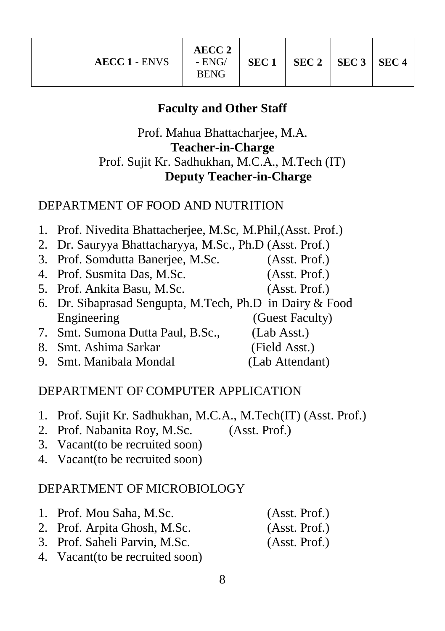#### **Faculty and Other Staff**

# Prof. Mahua Bhattacharjee, M.A. **Teacher-in-Charge**  Prof. Sujit Kr. Sadhukhan, M.C.A., M.Tech (IT) **Deputy Teacher-in-Charge**

#### DEPARTMENT OF FOOD AND NUTRITION

- 1. Prof. Nivedita Bhattacherjee, M.Sc, M.Phil,(Asst. Prof.)
- 2. Dr. Sauryya Bhattacharyya, M.Sc., Ph.D (Asst. Prof.)
- 3. Prof. Somdutta Banerjee, M.Sc. (Asst. Prof.)
- 4. Prof. Susmita Das, M.Sc. (Asst. Prof.)
- 5. Prof. Ankita Basu, M.Sc. (Asst. Prof.)
- 6. Dr. Sibaprasad Sengupta, M.Tech, Ph.D in Dairy & Food Engineering (Guest Faculty)
- 7. Smt. Sumona Dutta Paul, B.Sc., (Lab Asst.)
- 8. Smt. Ashima Sarkar (Field Asst.)
- 9. Smt. Manibala Mondal (Lab Attendant)

# DEPARTMENT OF COMPUTER APPLICATION

- 1. Prof. Sujit Kr. Sadhukhan, M.C.A., M.Tech(IT) (Asst. Prof.)
- 2. Prof. Nabanita Roy, M.Sc. (Asst. Prof.)
- 3. Vacant(to be recruited soon)
- 4. Vacant(to be recruited soon)

#### DEPARTMENT OF MICROBIOLOGY

- 1. Prof. Mou Saha, M.Sc. (Asst. Prof.)
- 2. Prof. Arpita Ghosh, M.Sc. (Asst. Prof.)
- 3. Prof. Saheli Parvin, M.Sc. (Asst. Prof.)
- 4. Vacant(to be recruited soon)
- 8

- 
-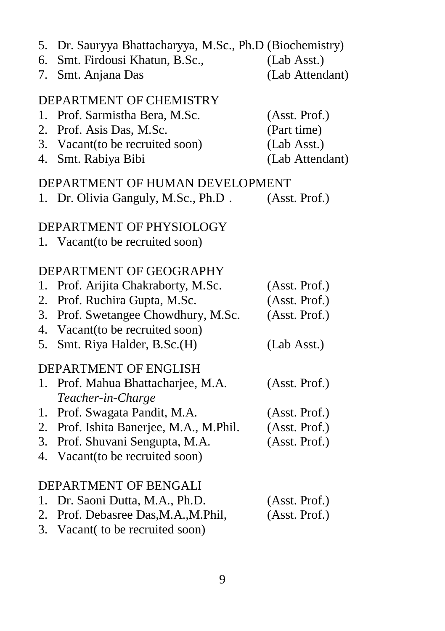- 5. Dr. Sauryya Bhattacharyya, M.Sc., Ph.D (Biochemistry)
- 6. Smt. Firdousi Khatun, B.Sc.,
- 7. Smt. Anjana Das (Lab Attendant)

# DEPARTMENT OF CHEMISTRY

1. Prof. Sarmistha Bera, M.Sc. (Asst. Prof.) 2. Prof. Asis Das, M.Sc. (Part time) 3. Vacant(to be recruited soon) (Lab Asst.) 4. Smt. Rabiya Bibi (Lab Attendant)

### DEPARTMENT OF HUMAN DEVELOPMENT

| 1. Dr. Olivia Ganguly, M.Sc., Ph.D. | (Asst. Prof.) |
|-------------------------------------|---------------|
|-------------------------------------|---------------|

### DEPARTMENT OF PHYSIOLOGY

1. Vacant(to be recruited soon)

# DEPARTMENT OF GEOGRAPHY

|    | 1. Prof. Arijita Chakraborty, M.Sc.     | (Asst. Prof.) |
|----|-----------------------------------------|---------------|
|    | 2. Prof. Ruchira Gupta, M.Sc.           | (Asst. Prof.) |
|    | 3. Prof. Swetangee Chowdhury, M.Sc.     | (Asst. Prof.) |
|    | 4. Vacant (to be recruited soon)        |               |
| 5. | Smt. Riya Halder, B.Sc.(H)              | (Lab Asst.)   |
|    | DEPARTMENT OF ENGLISH                   |               |
|    | 1. Prof. Mahua Bhattacharjee, M.A.      | (Asst. Prof.) |
|    | Teacher-in-Charge                       |               |
|    | 1. Prof. Swagata Pandit, M.A.           | (Asst. Prof.) |
|    | 2. Prof. Ishita Banerjee, M.A., M.Phil. | (Asst. Prof.) |
|    | 3. Prof. Shuvani Sengupta, M.A.         | (Asst. Prof.) |
|    | 4. Vacant (to be recruited soon)        |               |
|    |                                         |               |
|    | DEPARTMENT OF BENGALI                   |               |
|    | 1. Dr. Saoni Dutta, M.A., Ph.D.         | (Asst. Prof.) |

- 2. Prof. Debasree Das,M.A.,M.Phil, (Asst. Prof.)
- 3. Vacant( to be recruited soon)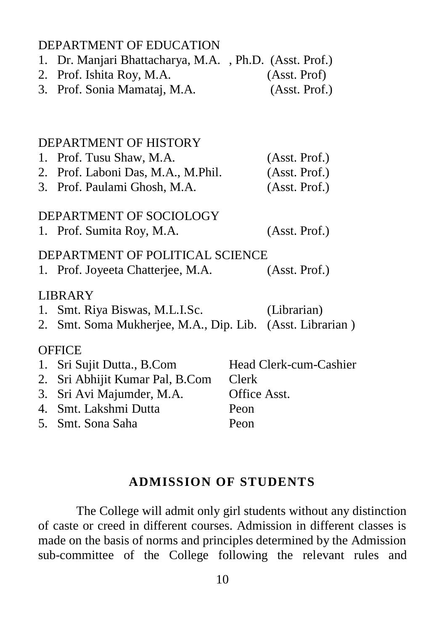#### DEPARTMENT OF EDUCATION

- 1. Dr. Manjari Bhattacharya, M.A. , Ph.D. (Asst. Prof.)
- 2. Prof. Ishita Roy, M.A. (Asst. Prof)
- 3. Prof. Sonia Mamataj, M.A. (Asst. Prof.)

#### DEPARTMENT OF HISTORY

| 1. Prof. Tusu Shaw, M.A.           | (Asst. Prof.) |
|------------------------------------|---------------|
| 2. Prof. Laboni Das, M.A., M.Phil. | (Asst. Prof.) |
| 3. Prof. Paulami Ghosh, M.A.       | (Asst. Prof.) |

#### DEPARTMENT OF SOCIOLOGY 1. Prof. Sumita Roy, M.A. (Asst. Prof.)

#### DEPARTMENT OF POLITICAL SCIENCE

1. Prof. Joyeeta Chatterjee, M.A. (Asst. Prof.)

#### LIBRARY

- 1. Smt. Riya Biswas, M.L.I.Sc. (Librarian)
- 2. Smt. Soma Mukherjee, M.A., Dip. Lib. (Asst. Librarian )

#### **OFFICE**

| 1. Sri Sujit Dutta., B.Com      | Head Clerk-cum-Cashier |
|---------------------------------|------------------------|
| 2. Sri Abhijit Kumar Pal, B.Com | <b>Clerk</b>           |
| 3. Sri Avi Majumder, M.A.       | Office Asst.           |
| 4. Smt. Lakshmi Dutta           | Peon                   |
| 5. Smt. Sona Saha               | Peon                   |

#### **ADMISSION OF STUDENTS**

The College will admit only girl students without any distinction of caste or creed in different courses. Admission in different classes is made on the basis of norms and principles determined by the Admission sub-committee of the College following the relevant rules and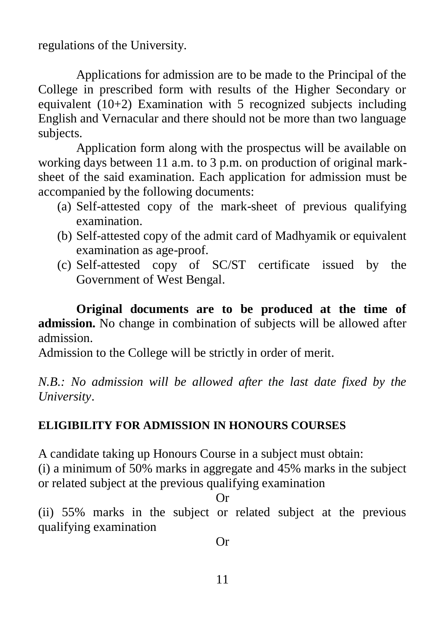regulations of the University.

Applications for admission are to be made to the Principal of the College in prescribed form with results of the Higher Secondary or equivalent  $(10+2)$  Examination with 5 recognized subjects including English and Vernacular and there should not be more than two language subjects.

Application form along with the prospectus will be available on working days between 11 a.m. to 3 p.m. on production of original marksheet of the said examination. Each application for admission must be accompanied by the following documents:

- (a) Self-attested copy of the mark-sheet of previous qualifying examination.
- (b) Self-attested copy of the admit card of Madhyamik or equivalent examination as age-proof.
- (c) Self-attested copy of SC/ST certificate issued by the Government of West Bengal.

**Original documents are to be produced at the time of admission.** No change in combination of subjects will be allowed after admission.

Admission to the College will be strictly in order of merit.

*N.B.: No admission will be allowed after the last date fixed by the University*.

# **ELIGIBILITY FOR ADMISSION IN HONOURS COURSES**

A candidate taking up Honours Course in a subject must obtain:

(i) a minimum of 50% marks in aggregate and 45% marks in the subject or related subject at the previous qualifying examination

Or

(ii) 55% marks in the subject or related subject at the previous qualifying examination

Or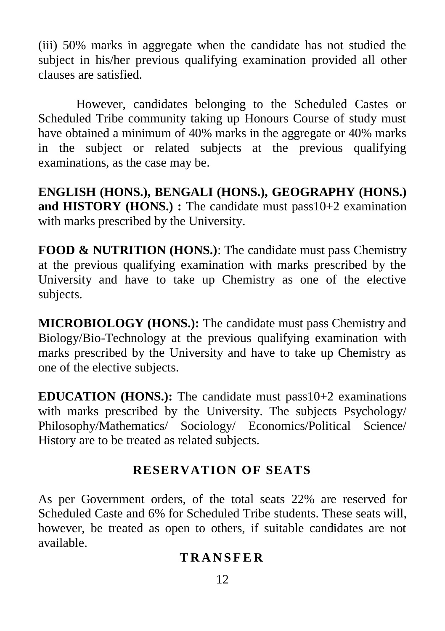(iii) 50% marks in aggregate when the candidate has not studied the subject in his/her previous qualifying examination provided all other clauses are satisfied.

However, candidates belonging to the Scheduled Castes or Scheduled Tribe community taking up Honours Course of study must have obtained a minimum of 40% marks in the aggregate or 40% marks in the subject or related subjects at the previous qualifying examinations, as the case may be.

**ENGLISH (HONS.), BENGALI (HONS.), GEOGRAPHY (HONS.) and HISTORY (HONS.) :** The candidate must pass10+2 examination with marks prescribed by the University.

**FOOD & NUTRITION (HONS.):** The candidate must pass Chemistry at the previous qualifying examination with marks prescribed by the University and have to take up Chemistry as one of the elective subjects.

**MICROBIOLOGY (HONS.):** The candidate must pass Chemistry and Biology/Bio-Technology at the previous qualifying examination with marks prescribed by the University and have to take up Chemistry as one of the elective subjects.

**EDUCATION (HONS.):** The candidate must pass10+2 examinations with marks prescribed by the University. The subjects Psychology/ Philosophy/Mathematics/ Sociology/ Economics/Political Science/ History are to be treated as related subjects.

# **RESERVATION OF SEATS**

As per Government orders, of the total seats 22% are reserved for Scheduled Caste and 6% for Scheduled Tribe students. These seats will, however, be treated as open to others, if suitable candidates are not available.

# **T R A N S F E R**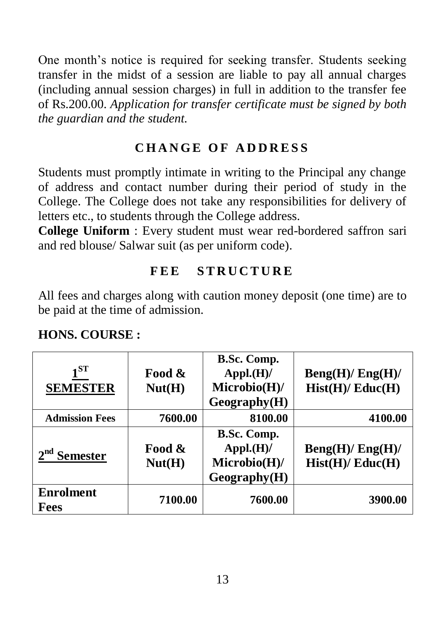One month's notice is required for seeking transfer. Students seeking transfer in the midst of a session are liable to pay all annual charges (including annual session charges) in full in addition to the transfer fee of Rs.200.00. *Application for transfer certificate must be signed by both the guardian and the student.*

# **C H A N G E O F A D D R E S S**

Students must promptly intimate in writing to the Principal any change of address and contact number during their period of study in the College. The College does not take any responsibilities for delivery of letters etc., to students through the College address.

**College Uniform** : Every student must wear red-bordered saffron sari and red blouse/ Salwar suit (as per uniform code).

# FEE STRUCTURE

All fees and charges along with caution money deposit (one time) are to be paid at the time of admission.

| 1 ST<br><b>SEMESTER</b>  | Food &<br>Nut(H) | B.Sc. Comp.<br>$Appl.(H)$ /<br>Microbio(H)/<br>Geography(H) | Beng(H)/Eng(H)/<br>Hist(H)/Educ(H) |
|--------------------------|------------------|-------------------------------------------------------------|------------------------------------|
| <b>Admission Fees</b>    | 7600.00          | 8100.00                                                     | 4100.00                            |
| <b>Semester</b>          | Food &<br>Nut(H) | B.Sc. Comp.<br>$Appl.(H)$ /<br>Microbio(H)/<br>Geography(H) | Beng(H)/Eng(H)/<br>Hist(H)/Educ(H) |
| <b>Enrolment</b><br>Fees | 7100.00          | 7600.00                                                     | 3900.00                            |

# **HONS. COURSE :**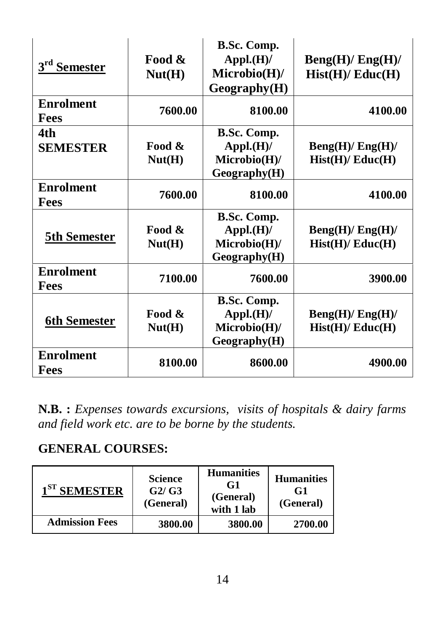| 3 <sup>rd</sup> Semester        | Food &<br>Nut(H)                   | B.Sc. Comp.<br>$\mathbf{Appl.}(\mathbf{H})$ /<br>Microbio(H)/<br>Geography(H) | Beng(H)/Eng(H)/<br>Hist(H)/Educ(H) |
|---------------------------------|------------------------------------|-------------------------------------------------------------------------------|------------------------------------|
| <b>Enrolment</b><br><b>Fees</b> | 7600.00                            | 8100.00                                                                       | 4100.00                            |
| 4th<br><b>SEMESTER</b>          | Food &<br>Nut(H)                   | B.Sc. Comp.<br>$\mathbf{Appl.}(\mathbf{H})$ /<br>Microbio(H)/<br>Geography(H) | Beng(H)/Eng(H)/<br>Hist(H)/Educ(H) |
| <b>Enrolment</b><br><b>Fees</b> | 7600.00                            | 8100.00                                                                       | 4100.00                            |
| <b>5th Semester</b>             | Food &<br>Nut(H)                   | B.Sc. Comp.<br>$\mathbf{Appl.}(\mathbf{H})$ /<br>Microbio(H)/<br>Geography(H) | Beng(H)/Eng(H)/<br>Hist(H)/Educ(H) |
| <b>Enrolment</b><br><b>Fees</b> | 7100.00                            | 7600.00                                                                       | 3900.00                            |
| <b>6th Semester</b>             | Food &<br>$\text{Nut}(\mathbf{H})$ | B.Sc. Comp.<br>$\mathbf{Appl.}(\mathbf{H})$ /<br>Microbio(H)/<br>Geography(H) | Beng(H)/Eng(H)/<br>Hist(H)/Educ(H) |
| <b>Enrolment</b><br><b>Fees</b> | 8100.00                            | 8600.00                                                                       | 4900.00                            |

**N.B. :** *Expenses towards excursions, visits of hospitals & dairy farms and field work etc. are to be borne by the students.*

# **GENERAL COURSES:**

| $1ST$ SEMESTER        | <b>Science</b><br>G2/G3<br>(General) | <b>Humanities</b><br>G1<br>(General)<br>with 1 lab | <b>Humanities</b><br>G1<br>(General) |
|-----------------------|--------------------------------------|----------------------------------------------------|--------------------------------------|
| <b>Admission Fees</b> | 3800.00                              | 3800.00                                            | 2700.00                              |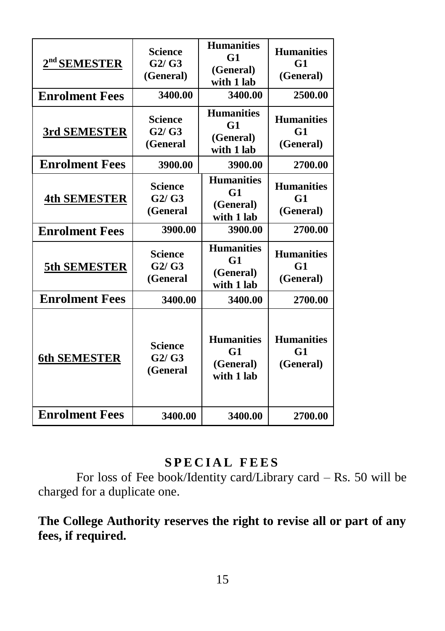| $2nd$ SEMESTER<br><b>Enrolment Fees</b> | <b>Science</b><br>G2/G3<br>(General)<br>3400.00 | <b>Humanities</b><br>G1<br>(General)<br>with 1 lab<br>3400.00  | <b>Humanities</b><br>G1<br>(General)<br>2500.00  |
|-----------------------------------------|-------------------------------------------------|----------------------------------------------------------------|--------------------------------------------------|
| 3rd SEMESTER                            | <b>Science</b><br>G2/G3<br>(General             | <b>Humanities</b><br>G1<br>(General)<br>with 1 lab             | <b>Humanities</b><br>G <sub>1</sub><br>(General) |
| <b>Enrolment Fees</b>                   | 3900.00                                         | 3900.00                                                        | 2700.00                                          |
| <b>4th SEMESTER</b>                     | <b>Science</b><br>G2/G3<br>(General             | <b>Humanities</b><br>G1<br>(General)<br>with 1 lab             | <b>Humanities</b><br>G1<br>(General)             |
| <b>Enrolment Fees</b>                   | 3900.00                                         | 3900.00                                                        | 2700.00                                          |
| 5th SEMESTER                            | <b>Science</b><br>G2/G3<br>(General             | <b>Humanities</b><br>G1<br>(General)<br>with 1 lab             | <b>Humanities</b><br>G <sub>1</sub><br>(General) |
| <b>Enrolment Fees</b>                   | 3400.00                                         | 3400.00                                                        | 2700.00                                          |
| <b>6th SEMESTER</b>                     | <b>Science</b><br>G2/G3<br>(General             | <b>Humanities</b><br>G <sub>1</sub><br>(General)<br>with 1 lab | <b>Humanities</b><br>G <sub>1</sub><br>(General) |
| <b>Enrolment Fees</b>                   | 3400.00                                         | 3400.00                                                        | 2700.00                                          |

# **SPECIAL FEES**

For loss of Fee book/Identity card/Library card – Rs. 50 will be charged for a duplicate one.

# **The College Authority reserves the right to revise all or part of any fees, if required.**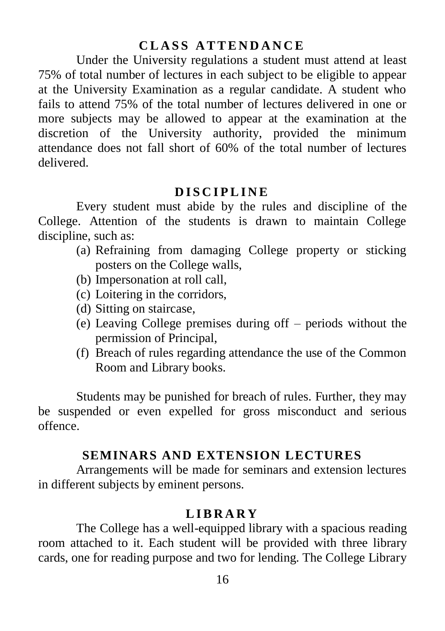# **C L A S S A T T E N D A N C E**

Under the University regulations a student must attend at least 75% of total number of lectures in each subject to be eligible to appear at the University Examination as a regular candidate. A student who fails to attend 75% of the total number of lectures delivered in one or more subjects may be allowed to appear at the examination at the discretion of the University authority, provided the minimum attendance does not fall short of 60% of the total number of lectures delivered.

#### **D I S C I P L I N E**

Every student must abide by the rules and discipline of the College. Attention of the students is drawn to maintain College discipline, such as:

- (a) Refraining from damaging College property or sticking posters on the College walls,
- (b) Impersonation at roll call,
- (c) Loitering in the corridors,
- (d) Sitting on staircase,
- (e) Leaving College premises during off periods without the permission of Principal,
- (f) Breach of rules regarding attendance the use of the Common Room and Library books.

Students may be punished for breach of rules. Further, they may be suspended or even expelled for gross misconduct and serious offence.

#### **SEMINARS AND EXTENSION LECTURES**

Arrangements will be made for seminars and extension lectures in different subjects by eminent persons.

### **L I B R A R Y**

The College has a well-equipped library with a spacious reading room attached to it. Each student will be provided with three library cards, one for reading purpose and two for lending. The College Library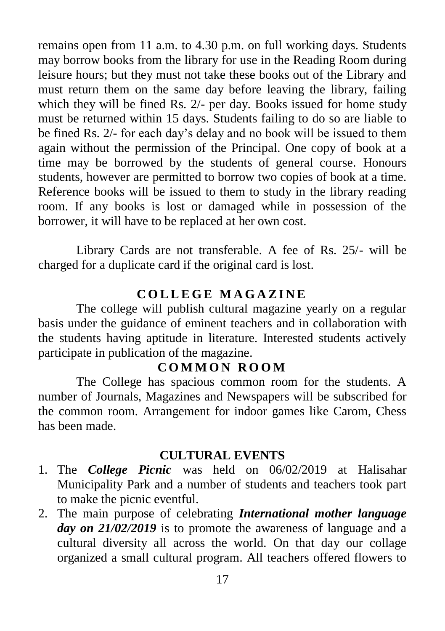remains open from 11 a.m. to 4.30 p.m. on full working days. Students may borrow books from the library for use in the Reading Room during leisure hours; but they must not take these books out of the Library and must return them on the same day before leaving the library, failing which they will be fined Rs. 2/- per day. Books issued for home study must be returned within 15 days. Students failing to do so are liable to be fined Rs. 2/- for each day"s delay and no book will be issued to them again without the permission of the Principal. One copy of book at a time may be borrowed by the students of general course. Honours students, however are permitted to borrow two copies of book at a time. Reference books will be issued to them to study in the library reading room. If any books is lost or damaged while in possession of the borrower, it will have to be replaced at her own cost.

Library Cards are not transferable. A fee of Rs. 25/- will be charged for a duplicate card if the original card is lost.

# **C O L L E G E M A G A Z I N E**

The college will publish cultural magazine yearly on a regular basis under the guidance of eminent teachers and in collaboration with the students having aptitude in literature. Interested students actively participate in publication of the magazine.

# **C O M M O N R O O M**

The College has spacious common room for the students. A number of Journals, Magazines and Newspapers will be subscribed for the common room. Arrangement for indoor games like Carom, Chess has been made.

# **CULTURAL EVENTS**

- 1. The *College Picnic* was held on 06/02/2019 at Halisahar Municipality Park and a number of students and teachers took part to make the picnic eventful.
- 2. The main purpose of celebrating *International mother language day on 21/02/2019* is to promote the awareness of language and a cultural diversity all across the world. On that day our collage organized a small cultural program. All teachers offered flowers to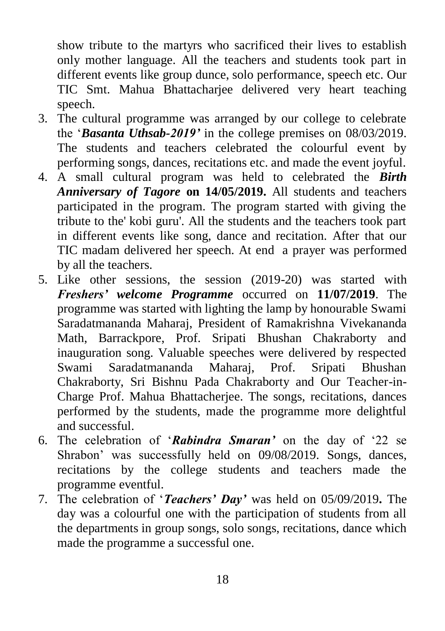show tribute to the martyrs who sacrificed their lives to establish only mother language. All the teachers and students took part in different events like group dunce, solo performance, speech etc. Our TIC Smt. Mahua Bhattacharjee delivered very heart teaching speech.

- 3. The cultural programme was arranged by our college to celebrate the "*Basanta Uthsab-2019'* in the college premises on 08/03/2019. The students and teachers celebrated the colourful event by performing songs, dances, recitations etc. and made the event joyful.
- 4. A small cultural program was held to celebrated the *Birth Anniversary of Tagore* **on 14/05/2019.** All students and teachers participated in the program. The program started with giving the tribute to the' kobi guru'. All the students and the teachers took part in different events like song, dance and recitation. After that our TIC madam delivered her speech. At end a prayer was performed by all the teachers.
- 5. Like other sessions, the session (2019-20) was started with *Freshers' welcome Programme* occurred on **11/07/2019**. The programme was started with lighting the lamp by honourable Swami Saradatmananda Maharaj, President of Ramakrishna Vivekananda Math, Barrackpore, Prof. Sripati Bhushan Chakraborty and inauguration song. Valuable speeches were delivered by respected Swami Saradatmananda Maharaj, Prof. Sripati Bhushan Chakraborty, Sri Bishnu Pada Chakraborty and Our Teacher-in-Charge Prof. Mahua Bhattacherjee. The songs, recitations, dances performed by the students, made the programme more delightful and successful.
- 6. The celebration of "*Rabindra Smaran'* on the day of "22 se Shrabon" was successfully held on 09/08/2019. Songs, dances, recitations by the college students and teachers made the programme eventful.
- 7. The celebration of "*Teachers' Day'* was held on 05/09/2019**.** The day was a colourful one with the participation of students from all the departments in group songs, solo songs, recitations, dance which made the programme a successful one.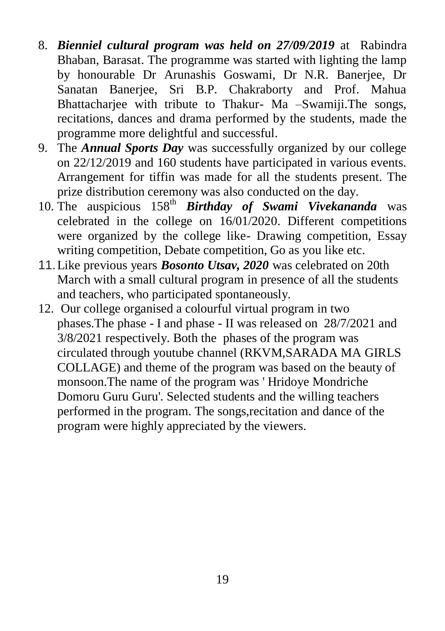- 8. *Bienniel cultural program was held on 27/09/2019* at Rabindra Bhaban, Barasat. The programme was started with lighting the lamp by honourable Dr Arunashis Goswami, Dr N.R. Banerjee, Dr Sanatan Banerjee, Sri B.P. Chakraborty and Prof. Mahua Bhattacharjee with tribute to Thakur- Ma –Swamiji.The songs, recitations, dances and drama performed by the students, made the programme more delightful and successful.
- 9. The *Annual Sports Day* was successfully organized by our college on 22/12/2019 and 160 students have participated in various events. Arrangement for tiffin was made for all the students present. The prize distribution ceremony was also conducted on the day.
- 10. The auspicious 158<sup>th</sup> *Birthday of Swami Vivekananda* was celebrated in the college on 16/01/2020. Different competitions were organized by the college like- Drawing competition, Essay writing competition, Debate competition, Go as you like etc.
- 11.Like previous years *Bosonto Utsav, 2020* was celebrated on 20th March with a small cultural program in presence of all the students and teachers, who participated spontaneously.
- 12. Our college organised a colourful virtual program in two phases.The phase - I and phase - II was released on 28/7/2021 and 3/8/2021 respectively. Both the phases of the program was circulated through youtube channel (RKVM,SARADA MA GIRLS COLLAGE) and theme of the program was based on the beauty of monsoon.The name of the program was ' Hridoye Mondriche Domoru Guru Guru'. Selected students and the willing teachers performed in the program. The songs,recitation and dance of the program were highly appreciated by the viewers.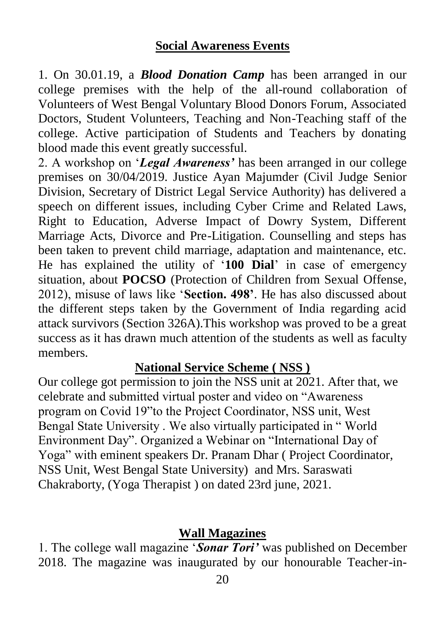### **Social Awareness Events**

1. On 30.01.19, a *Blood Donation Camp* has been arranged in our college premises with the help of the all-round collaboration of Volunteers of West Bengal Voluntary Blood Donors Forum, Associated Doctors, Student Volunteers, Teaching and Non-Teaching staff of the college. Active participation of Students and Teachers by donating blood made this event greatly successful.

2. A workshop on "*Legal Awareness'* has been arranged in our college premises on 30/04/2019. Justice Ayan Majumder (Civil Judge Senior Division, Secretary of District Legal Service Authority) has delivered a speech on different issues, including Cyber Crime and Related Laws, Right to Education, Adverse Impact of Dowry System, Different Marriage Acts, Divorce and Pre-Litigation. Counselling and steps has been taken to prevent child marriage, adaptation and maintenance, etc. He has explained the utility of "**100 Dial**" in case of emergency situation, about **POCSO** (Protection of Children from Sexual Offense, 2012), misuse of laws like "**Section. 498'**. He has also discussed about the different steps taken by the Government of India regarding acid attack survivors (Section 326A).This workshop was proved to be a great success as it has drawn much attention of the students as well as faculty members.

# **National Service Scheme ( NSS )**

Our college got permission to join the NSS unit at 2021. After that, we celebrate and submitted virtual poster and video on "Awareness program on Covid 19"to the Project Coordinator, NSS unit, West Bengal State University . We also virtually participated in " World Environment Day". Organized a Webinar on "International Day of Yoga" with eminent speakers Dr. Pranam Dhar ( Project Coordinator, NSS Unit, West Bengal State University) and Mrs. Saraswati Chakraborty, (Yoga Therapist ) on dated 23rd june, 2021.

# **Wall Magazines**

1. The college wall magazine "*Sonar Tori'* was published on December 2018. The magazine was inaugurated by our honourable Teacher-in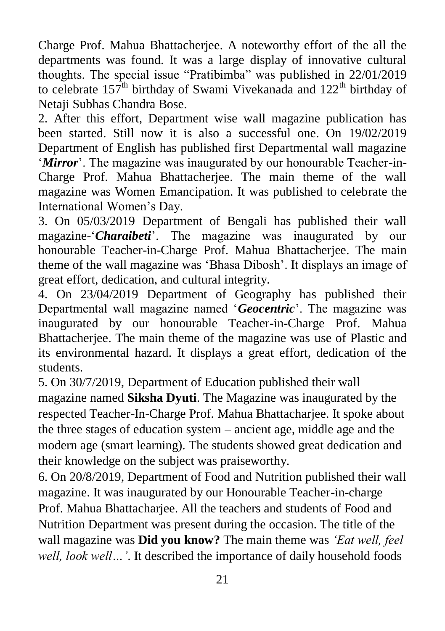Charge Prof. Mahua Bhattacherjee. A noteworthy effort of the all the departments was found. It was a large display of innovative cultural thoughts. The special issue "Pratibimba" was published in 22/01/2019 to celebrate  $157<sup>th</sup>$  birthday of Swami Vivekanada and  $122<sup>th</sup>$  birthday of Netaji Subhas Chandra Bose.

2. After this effort, Department wise wall magazine publication has been started. Still now it is also a successful one. On 19/02/2019 Department of English has published first Departmental wall magazine '*Mirror*'. The magazine was inaugurated by our honourable Teacher-in-Charge Prof. Mahua Bhattacherjee. The main theme of the wall magazine was Women Emancipation. It was published to celebrate the International Women"s Day.

3. On 05/03/2019 Department of Bengali has published their wall magazine-"*Charaibeti*". The magazine was inaugurated by our honourable Teacher-in-Charge Prof. Mahua Bhattacherjee. The main theme of the wall magazine was "Bhasa Dibosh". It displays an image of great effort, dedication, and cultural integrity.

4. On 23/04/2019 Department of Geography has published their Departmental wall magazine named "*Geocentric*". The magazine was inaugurated by our honourable Teacher-in-Charge Prof. Mahua Bhattacherjee. The main theme of the magazine was use of Plastic and its environmental hazard. It displays a great effort, dedication of the students.

5. On 30/7/2019, Department of Education published their wall magazine named **Siksha Dyuti**. The Magazine was inaugurated by the respected Teacher-In-Charge Prof. Mahua Bhattacharjee. It spoke about the three stages of education system – ancient age, middle age and the modern age (smart learning). The students showed great dedication and their knowledge on the subject was praiseworthy.

6. On 20/8/2019, Department of Food and Nutrition published their wall magazine. It was inaugurated by our Honourable Teacher-in-charge Prof. Mahua Bhattacharjee. All the teachers and students of Food and Nutrition Department was present during the occasion. The title of the wall magazine was **Did you know?** The main theme was *"Eat well, feel well, look well…"*. It described the importance of daily household foods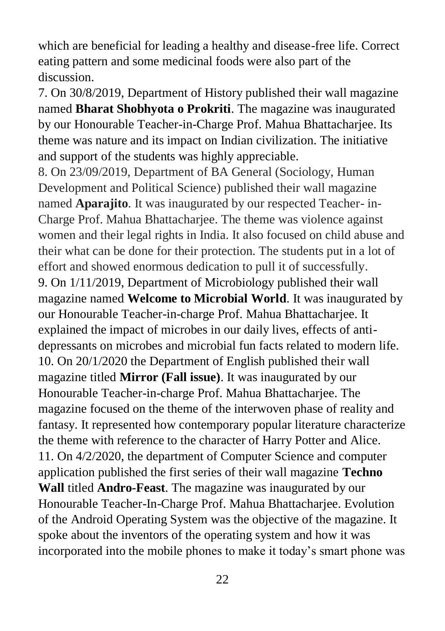which are beneficial for leading a healthy and disease-free life. Correct eating pattern and some medicinal foods were also part of the discussion.

7. On 30/8/2019, Department of History published their wall magazine named **Bharat Shobhyota o Prokriti**. The magazine was inaugurated by our Honourable Teacher-in-Charge Prof. Mahua Bhattacharjee. Its theme was nature and its impact on Indian civilization. The initiative and support of the students was highly appreciable.

8. On 23/09/2019, Department of BA General (Sociology, Human Development and Political Science) published their wall magazine named **Aparajito**. It was inaugurated by our respected Teacher- in-Charge Prof. Mahua Bhattacharjee. The theme was violence against women and their legal rights in India. It also focused on child abuse and their what can be done for their protection. The students put in a lot of effort and showed enormous dedication to pull it of successfully. 9. On 1/11/2019, Department of Microbiology published their wall magazine named **Welcome to Microbial World**. It was inaugurated by our Honourable Teacher-in-charge Prof. Mahua Bhattacharjee. It explained the impact of microbes in our daily lives, effects of antidepressants on microbes and microbial fun facts related to modern life. 10. On 20/1/2020 the Department of English published their wall magazine titled **Mirror (Fall issue)**. It was inaugurated by our Honourable Teacher-in-charge Prof. Mahua Bhattacharjee. The magazine focused on the theme of the interwoven phase of reality and fantasy. It represented how contemporary popular literature characterize the theme with reference to the character of Harry Potter and Alice. 11. On 4/2/2020, the department of Computer Science and computer application published the first series of their wall magazine **Techno Wall** titled **Andro-Feast**. The magazine was inaugurated by our Honourable Teacher-In-Charge Prof. Mahua Bhattacharjee. Evolution of the Android Operating System was the objective of the magazine. It spoke about the inventors of the operating system and how it was incorporated into the mobile phones to make it today"s smart phone was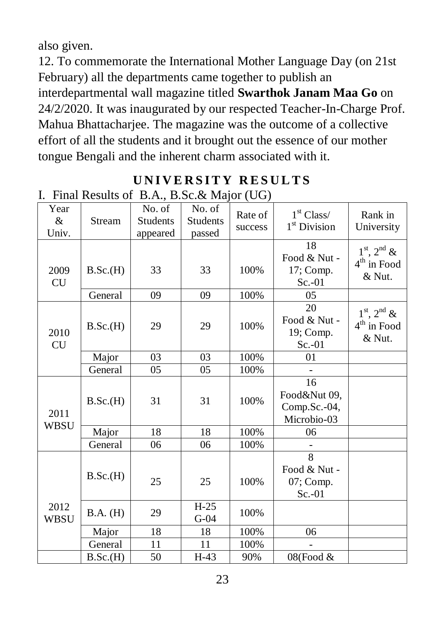also given.

12. To commemorate the International Mother Language Day (on 21st February) all the departments came together to publish an interdepartmental wall magazine titled **Swarthok Janam Maa Go** on 24/2/2020. It was inaugurated by our respected Teacher-In-Charge Prof. Mahua Bhattacharjee. The magazine was the outcome of a collective effort of all the students and it brought out the essence of our mother tongue Bengali and the inherent charm associated with it.

| ı.                 |          | Final Results of $B.A., B.5C.X$ Major ( $UU$ ) |                              |                    |                                                         |                                                      |
|--------------------|----------|------------------------------------------------|------------------------------|--------------------|---------------------------------------------------------|------------------------------------------------------|
| Year<br>&<br>Univ. | Stream   | No. of<br><b>Students</b><br>appeared          | No. of<br>Students<br>passed | Rate of<br>success | 1 <sup>st</sup> Class/<br>1 <sup>st</sup> Division      | Rank in<br>University                                |
| 2009<br>CU         | B.Sc.(H) | 33                                             | 33                           | 100%               | 18<br>Food & Nut -<br>17; Comp.<br>$Sc.-01$             | $1st$ , $2nd$ &<br>$4th$ in Food<br>$&$ Nut.         |
|                    | General  | 09                                             | 09                           | 100%               | 05                                                      |                                                      |
| 2010<br><b>CU</b>  | B.Sc.(H) | 29                                             | 29                           | 100%               | 20<br>Food & Nut -<br>19; Comp.<br>$Sc.-01$             | $1st$ , $2nd$ &<br>$4^{\text{th}}$ in Food<br>& Nut. |
|                    | Major    | 03                                             | 03                           | 100%               | 01                                                      |                                                      |
|                    | General  | 05                                             | 05                           | 100%               |                                                         |                                                      |
| 2011<br>WBSU       | B.Sc.(H) | 31                                             | 31                           | 100%               | 16<br>Food&Nut 09,<br>Comp.Sc.-04,<br>Microbio-03       |                                                      |
|                    | Major    | 18                                             | 18                           | 100%               | 06                                                      |                                                      |
|                    | General  | 06                                             | 06                           | 100%               |                                                         |                                                      |
|                    | B.Sc.(H) | 25                                             | 25                           | 100%               | $\overline{8}$<br>Food & Nut -<br>07; Comp.<br>$Sc.-01$ |                                                      |
| 2012<br>WBSU       | B.A. (H) | 29                                             | $H-25$<br>$G-04$             | 100%               |                                                         |                                                      |
|                    | Major    | 18                                             | 18                           | 100%               | 06                                                      |                                                      |
|                    | General  | 11                                             | 11                           | 100%               |                                                         |                                                      |
|                    | B.Sc.(H) | 50                                             | $H-43$                       | 90%                | 08(Food &                                               |                                                      |

#### **UNIVERSITY RESULTS** I. Final Results of B.A., B.O.  $\theta$ , Major (UG)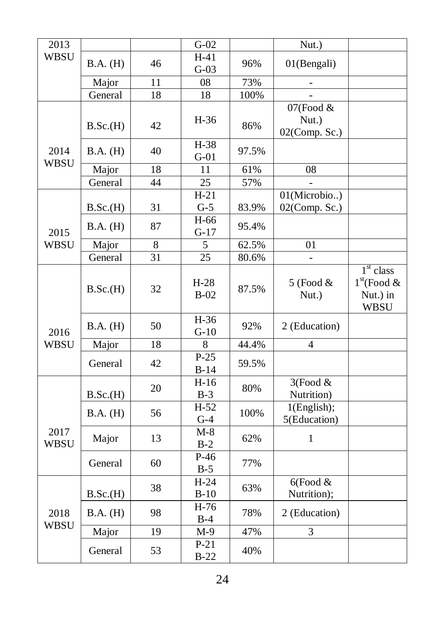| 2013                |          |                 | $G-02$           |       | Nut.)                                    |                                                         |
|---------------------|----------|-----------------|------------------|-------|------------------------------------------|---------------------------------------------------------|
| <b>WBSU</b>         | B.A. (H) | 46              | $H-41$<br>$G-03$ | 96%   | 01(Bengali)                              |                                                         |
|                     | Major    | 11              | 08               | 73%   | $\overline{\phantom{0}}$                 |                                                         |
|                     | General  | 18              | 18               | 100%  |                                          |                                                         |
| 2014<br><b>WBSU</b> | B.Sc.(H) | 42              | $H-36$           | 86%   | 07(Food $&$<br>Nut.)<br>$02$ (Comp. Sc.) |                                                         |
|                     | B.A. (H) | 40              | $H-38$<br>$G-01$ | 97.5% |                                          |                                                         |
|                     | Major    | 18              | 11               | 61%   | 08                                       |                                                         |
|                     | General  | 44              | $\overline{25}$  | 57%   |                                          |                                                         |
|                     | B.Sc.(H) | 31              | $H-21$<br>$G-5$  | 83.9% | 01(Microbio)<br>02(Comp. Sc.)            |                                                         |
| 2015                | B.A. (H) | 87              | H-66<br>$G-17$   | 95.4% |                                          |                                                         |
| <b>WBSU</b>         | Major    | 8               | 5                | 62.5% | 01                                       |                                                         |
|                     | General  | 31              | 25               | 80.6% |                                          |                                                         |
|                     | B.Sc.(H) | 32              | $H-28$<br>$B-02$ | 87.5% | $5$ (Food $&$<br>Nut.)                   | $1st$ class<br>$1st$ (Food &<br>Nut.) in<br><b>WBSU</b> |
| 2016                | B.A. (H) | 50              | H-36<br>$G-10$   | 92%   | 2 (Education)                            |                                                         |
| <b>WBSU</b>         | Major    | $\overline{18}$ | $\overline{8}$   | 44.4% | $\overline{4}$                           |                                                         |
|                     | General  | 42              | $P-25$<br>$B-14$ | 59.5% |                                          |                                                         |
|                     | B.Sc.(H) | 20              | $H-16$<br>$B-3$  | 80%   | 3(Food &<br>Nutrition)                   |                                                         |
| 2017<br><b>WBSU</b> | B.A. (H) | 56              | $H-52$<br>$G-4$  | 100%  | 1(English);<br>5(Education)              |                                                         |
|                     | Major    | 13              | $M-8$<br>$B-2$   | 62%   | 1                                        |                                                         |
|                     | General  | 60              | $P-46$<br>$B-5$  | 77%   |                                          |                                                         |
| 2018<br><b>WBSU</b> | B.Sc.(H) | 38              | $H-24$<br>$B-10$ | 63%   | $6$ (Food &<br>Nutrition);               |                                                         |
|                     | B.A. (H) | 98              | $H-76$<br>$B-4$  | 78%   | 2 (Education)                            |                                                         |
|                     | Major    | 19              | $M-9$            | 47%   | $\overline{3}$                           |                                                         |
|                     | General  | 53              | $P-21$<br>$B-22$ | 40%   |                                          |                                                         |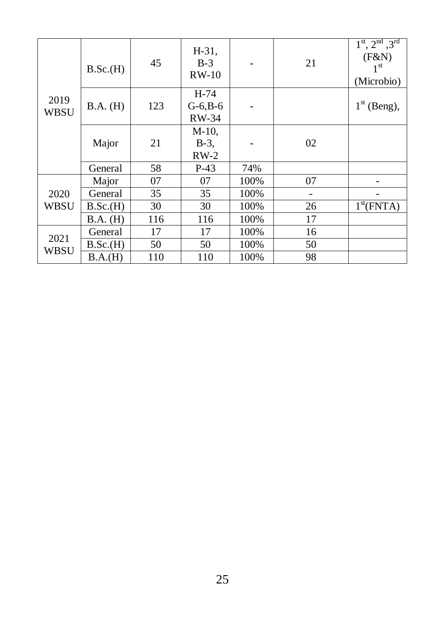| 2019<br><b>WBSU</b> | B.Sc.(H) | 45  | $H-31$ ,<br>$B-3$<br>$RW-10$  |      | 21 | $1^{\text{st}}$ , $2^{\text{nd}}$ , $3^{\text{rd}}$<br>(F&N)<br>1 <sup>st</sup><br>(Microbio) |
|---------------------|----------|-----|-------------------------------|------|----|-----------------------------------------------------------------------------------------------|
|                     | B.A. (H) | 123 | $H-74$<br>$G-6, B-6$<br>RW-34 |      |    | $1st$ (Beng),                                                                                 |
|                     | Major    | 21  | $M-10$ ,<br>$B-3$ ,<br>$RW-2$ |      | 02 |                                                                                               |
|                     | General  | 58  | $P-43$                        | 74%  |    |                                                                                               |
|                     | Major    | 07  | 07                            | 100% | 07 |                                                                                               |
| 2020<br><b>WBSU</b> | General  | 35  | 35                            | 100% |    |                                                                                               |
|                     | B.Sc.(H) | 30  | 30                            | 100% | 26 | 1 <sup>st</sup> (FNTA)                                                                        |
|                     | B.A. (H) | 116 | 116                           | 100% | 17 |                                                                                               |
| 2021<br><b>WBSU</b> | General  | 17  | 17                            | 100% | 16 |                                                                                               |
|                     | B.Sc.(H) | 50  | 50                            | 100% | 50 |                                                                                               |
|                     | B.A.(H)  | 110 | 110                           | 100% | 98 |                                                                                               |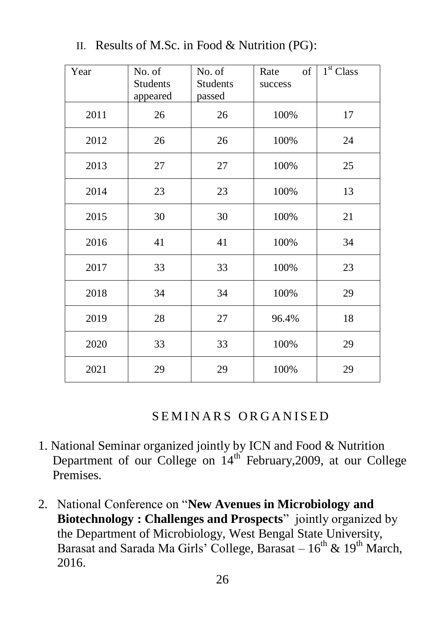| Year | No. of<br>Students<br>appeared | No. of<br><b>Students</b><br>passed | of<br>Rate<br>success | 1 <sup>st</sup> Class |
|------|--------------------------------|-------------------------------------|-----------------------|-----------------------|
| 2011 | 26                             | 26                                  | 100%                  | 17                    |
| 2012 | 26                             | 26                                  | 100%                  | 24                    |
| 2013 | 27                             | 27                                  | 100%                  | 25                    |
| 2014 | 23                             | 23                                  | 100%                  | 13                    |
| 2015 | 30                             | 30                                  | 100%                  | 21                    |
| 2016 | 41                             | 41                                  | 100%                  | 34                    |
| 2017 | 33                             | 33                                  | 100%                  | 23                    |
| 2018 | 34                             | 34                                  | 100%                  | 29                    |
| 2019 | 28                             | 27                                  | 96.4%                 | 18                    |
| 2020 | 33                             | 33                                  | 100%                  | 29                    |
| 2021 | 29                             | 29                                  | 100%                  | 29                    |

II. Results of M.Sc. in Food & Nutrition (PG):

SEMINARS ORGANISED

- 1. National Seminar organized jointly by ICN and Food & Nutrition Department of our College on 14<sup>th</sup> February, 2009, at our College Premises.
- 2. National Conference on "**New Avenues in Microbiology and Biotechnology : Challenges and Prospects**" jointly organized by the Department of Microbiology, West Bengal State University, Barasat and Sarada Ma Girls' College, Barasat –  $16^{th}$  &  $19^{th}$  March, 2016.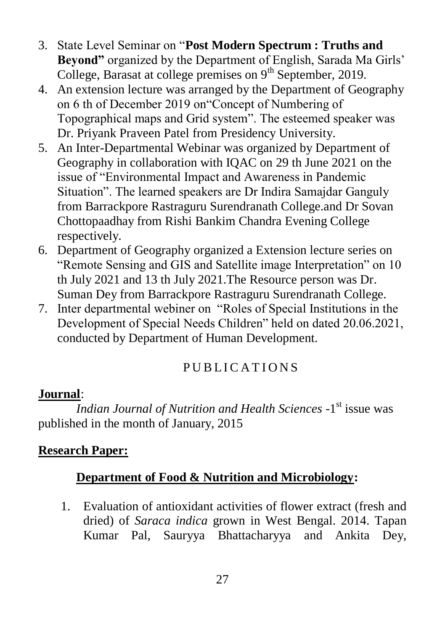- 3. State Level Seminar on "**Post Modern Spectrum : Truths and Beyond**" organized by the Department of English, Sarada Ma Girls' College, Barasat at college premises on  $9<sup>th</sup>$  September, 2019.
- 4. An extension lecture was arranged by the Department of Geography on 6 th of December 2019 on"Concept of Numbering of Topographical maps and Grid system". The esteemed speaker was Dr. Priyank Praveen Patel from Presidency University.
- 5. An Inter-Departmental Webinar was organized by Department of Geography in collaboration with IQAC on 29 th June 2021 on the issue of "Environmental Impact and Awareness in Pandemic Situation". The learned speakers are Dr Indira Samajdar Ganguly from Barrackpore Rastraguru Surendranath College.and Dr Sovan Chottopaadhay from Rishi Bankim Chandra Evening College respectively.
- 6. Department of Geography organized a Extension lecture series on "Remote Sensing and GIS and Satellite image Interpretation" on 10 th July 2021 and 13 th July 2021.The Resource person was Dr. Suman Dey from Barrackpore Rastraguru Surendranath College.
- 7. Inter departmental webiner on "Roles of Special Institutions in the Development of Special Needs Children" held on dated 20.06.2021, conducted by Department of Human Development.

# PUBLICATIONS

# **Journal**:

**Indian Journal of Nutrition and Health Sciences -1<sup>st</sup> issue was** published in the month of January, 2015

# **Research Paper:**

# **Department of Food & Nutrition and Microbiology:**

1. Evaluation of antioxidant activities of flower extract (fresh and dried) of *Saraca indica* grown in West Bengal. 2014. Tapan Kumar Pal, Sauryya Bhattacharyya and Ankita Dey,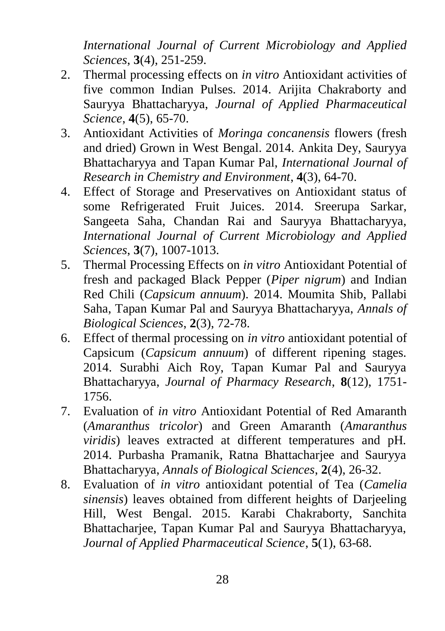*International Journal of Current Microbiology and Applied Sciences*, **3**(4), 251-259.

- 2. Thermal processing effects on *in vitro* Antioxidant activities of five common Indian Pulses. 2014. Arijita Chakraborty and Sauryya Bhattacharyya, *Journal of Applied Pharmaceutical Science*, **4**(5), 65-70.
- 3. Antioxidant Activities of *Moringa concanensis* flowers (fresh and dried) Grown in West Bengal. 2014. Ankita Dey, Sauryya Bhattacharyya and Tapan Kumar Pal, *International Journal of Research in Chemistry and Environment*, **4**(3), 64-70.
- 4. Effect of Storage and Preservatives on Antioxidant status of some Refrigerated Fruit Juices. 2014. Sreerupa Sarkar, Sangeeta Saha, Chandan Rai and Sauryya Bhattacharyya, *International Journal of Current Microbiology and Applied Sciences*, **3**(7), 1007-1013.
- 5. Thermal Processing Effects on *in vitro* Antioxidant Potential of fresh and packaged Black Pepper (*Piper nigrum*) and Indian Red Chili (*Capsicum annuum*). 2014. Moumita Shib, Pallabi Saha, Tapan Kumar Pal and Sauryya Bhattacharyya, *Annals of Biological Sciences*, **2**(3), 72-78.
- 6. Effect of thermal processing on *in vitro* antioxidant potential of Capsicum (*Capsicum annuum*) of different ripening stages. 2014. Surabhi Aich Roy, Tapan Kumar Pal and Sauryya Bhattacharyya, *Journal of Pharmacy Research*, **8**(12), 1751- 1756.
- 7. Evaluation of *in vitro* Antioxidant Potential of Red Amaranth (*Amaranthus tricolor*) and Green Amaranth (*Amaranthus viridis*) leaves extracted at different temperatures and pH. 2014. Purbasha Pramanik, Ratna Bhattacharjee and Sauryya Bhattacharyya, *Annals of Biological Sciences*, **2**(4), 26-32.
- 8. Evaluation of *in vitro* antioxidant potential of Tea (*Camelia sinensis*) leaves obtained from different heights of Darjeeling Hill, West Bengal. 2015. Karabi Chakraborty, Sanchita Bhattacharjee, Tapan Kumar Pal and Sauryya Bhattacharyya, *Journal of Applied Pharmaceutical Science*, **5**(1), 63-68.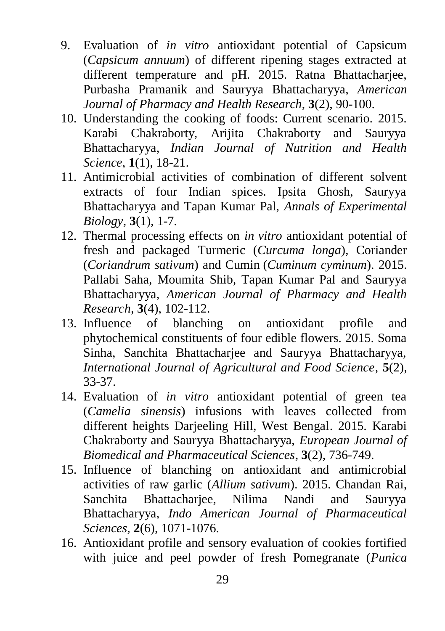- 9. Evaluation of *in vitro* antioxidant potential of Capsicum (*Capsicum annuum*) of different ripening stages extracted at different temperature and pH. 2015. Ratna Bhattacharjee, Purbasha Pramanik and Sauryya Bhattacharyya, *American Journal of Pharmacy and Health Research*, **3**(2), 90-100.
- 10. Understanding the cooking of foods: Current scenario. 2015. Karabi Chakraborty, Arijita Chakraborty and Sauryya Bhattacharyya, *Indian Journal of Nutrition and Health Science*, **1**(1), 18-21.
- 11. Antimicrobial activities of combination of different solvent extracts of four Indian spices. Ipsita Ghosh, Sauryya Bhattacharyya and Tapan Kumar Pal, *Annals of Experimental Biology*, **3**(1), 1-7.
- 12. Thermal processing effects on *in vitro* antioxidant potential of fresh and packaged Turmeric (*Curcuma longa*), Coriander (*Coriandrum sativum*) and Cumin (*Cuminum cyminum*). 2015. Pallabi Saha, Moumita Shib, Tapan Kumar Pal and Sauryya Bhattacharyya, *American Journal of Pharmacy and Health Research*, **3**(4), 102-112.
- 13. Influence of blanching on antioxidant profile and phytochemical constituents of four edible flowers. 2015. Soma Sinha, Sanchita Bhattacharjee and Sauryya Bhattacharyya, *International Journal of Agricultural and Food Science*, **5**(2), 33-37.
- 14. Evaluation of *in vitro* antioxidant potential of green tea (*Camelia sinensis*) infusions with leaves collected from different heights Darjeeling Hill, West Bengal. 2015. Karabi Chakraborty and Sauryya Bhattacharyya, *European Journal of Biomedical and Pharmaceutical Sciences*, **3**(2), 736-749.
- 15. Influence of blanching on antioxidant and antimicrobial activities of raw garlic (*Allium sativum*). 2015. Chandan Rai, Sanchita Bhattacharjee, Nilima Nandi and Sauryya Bhattacharyya, *Indo American Journal of Pharmaceutical Sciences*, **2**(6), 1071-1076.
- 16. Antioxidant profile and sensory evaluation of cookies fortified with juice and peel powder of fresh Pomegranate (*Punica*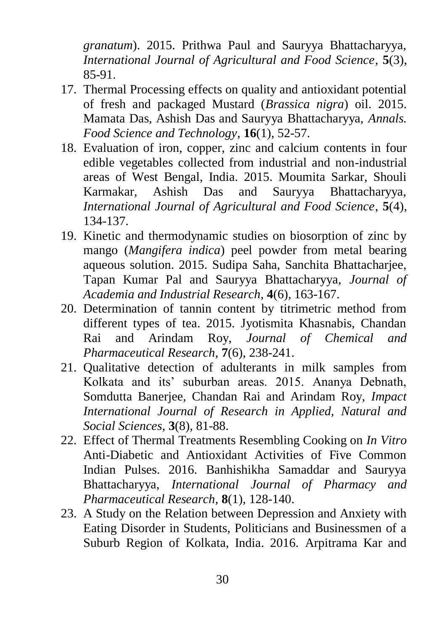*granatum*). 2015. Prithwa Paul and Sauryya Bhattacharyya, *International Journal of Agricultural and Food Science*, **5**(3), 85-91.

- 17. Thermal Processing effects on quality and antioxidant potential of fresh and packaged Mustard (*Brassica nigra*) oil. 2015. Mamata Das, Ashish Das and Sauryya Bhattacharyya, *Annals. Food Science and Technology*, **16**(1), 52-57.
- 18. Evaluation of iron, copper, zinc and calcium contents in four edible vegetables collected from industrial and non-industrial areas of West Bengal, India. 2015. Moumita Sarkar, Shouli Karmakar, Ashish Das and Sauryya Bhattacharyya, *International Journal of Agricultural and Food Science*, **5**(4), 134-137.
- 19. Kinetic and thermodynamic studies on biosorption of zinc by mango (*Mangifera indica*) peel powder from metal bearing aqueous solution. 2015. Sudipa Saha, Sanchita Bhattacharjee, Tapan Kumar Pal and Sauryya Bhattacharyya, *Journal of Academia and Industrial Research*, **4**(6), 163-167.
- 20. Determination of tannin content by titrimetric method from different types of tea. 2015. Jyotismita Khasnabis, Chandan Rai and Arindam Roy, *Journal of Chemical and Pharmaceutical Research*, **7**(6), 238-241.
- 21. Qualitative detection of adulterants in milk samples from Kolkata and its' suburban areas. 2015. Ananya Debnath, Somdutta Banerjee, Chandan Rai and Arindam Roy, *Impact International Journal of Research in Applied, Natural and Social Sciences*, **3**(8), 81-88.
- 22. Effect of Thermal Treatments Resembling Cooking on *In Vitro* Anti-Diabetic and Antioxidant Activities of Five Common Indian Pulses. 2016. Banhishikha Samaddar and Sauryya Bhattacharyya, *International Journal of Pharmacy and Pharmaceutical Research*, **8**(1), 128-140.
- 23. A Study on the Relation between Depression and Anxiety with Eating Disorder in Students, Politicians and Businessmen of a Suburb Region of Kolkata, India. 2016. Arpitrama Kar and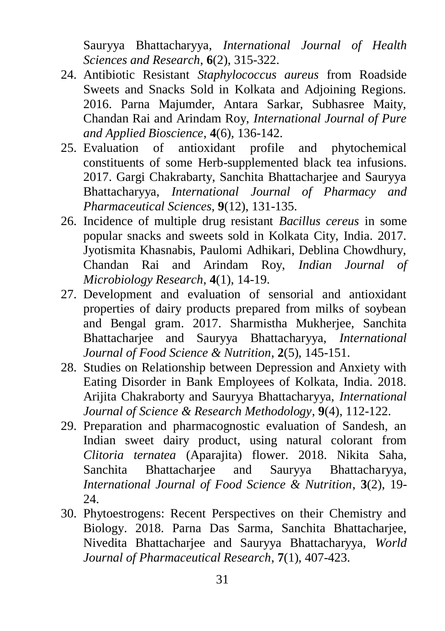Sauryya Bhattacharyya, *International Journal of Health Sciences and Research*, **6**(2), 315-322.

- 24. Antibiotic Resistant *Staphylococcus aureus* from Roadside Sweets and Snacks Sold in Kolkata and Adjoining Regions. 2016. Parna Majumder, Antara Sarkar, Subhasree Maity, Chandan Rai and Arindam Roy, *International Journal of Pure and Applied Bioscience*, **4**(6), 136-142.
- 25. Evaluation of antioxidant profile and phytochemical constituents of some Herb-supplemented black tea infusions. 2017. Gargi Chakrabarty, Sanchita Bhattacharjee and Sauryya Bhattacharyya, *International Journal of Pharmacy and Pharmaceutical Sciences*, **9**(12), 131-135.
- 26. Incidence of multiple drug resistant *Bacillus cereus* in some popular snacks and sweets sold in Kolkata City, India. 2017. Jyotismita Khasnabis, Paulomi Adhikari, Deblina Chowdhury, Chandan Rai and Arindam Roy, *Indian Journal of Microbiology Research*, **4**(1), 14-19.
- 27. Development and evaluation of sensorial and antioxidant properties of dairy products prepared from milks of soybean and Bengal gram. 2017. Sharmistha Mukherjee, Sanchita Bhattacharjee and Sauryya Bhattacharyya, *International Journal of Food Science & Nutrition*, **2**(5), 145-151.
- 28. Studies on Relationship between Depression and Anxiety with Eating Disorder in Bank Employees of Kolkata, India. 2018. Arijita Chakraborty and Sauryya Bhattacharyya, *International Journal of Science & Research Methodology*, **9**(4), 112-122.
- 29. Preparation and pharmacognostic evaluation of Sandesh, an Indian sweet dairy product, using natural colorant from *Clitoria ternatea* (Aparajita) flower. 2018. Nikita Saha, Sanchita Bhattacharjee and Sauryya Bhattacharyya, *International Journal of Food Science & Nutrition*, **3**(2), 19- 24.
- 30. Phytoestrogens: Recent Perspectives on their Chemistry and Biology. 2018. Parna Das Sarma, Sanchita Bhattacharjee, Nivedita Bhattacharjee and Sauryya Bhattacharyya, *World Journal of Pharmaceutical Research*, **7**(1), 407-423.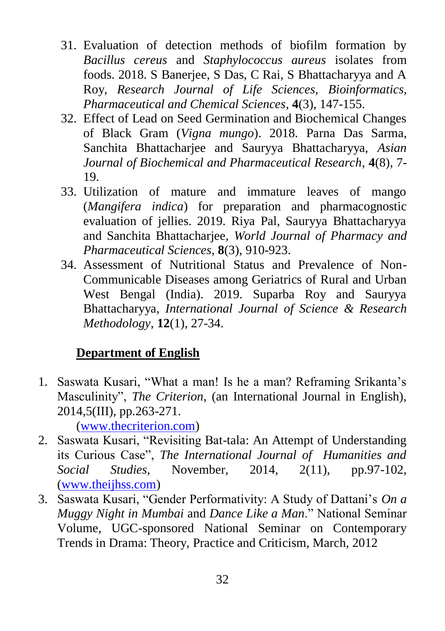- 31. Evaluation of detection methods of biofilm formation by *Bacillus cereus* and *Staphylococcus aureus* isolates from foods. 2018. S Banerjee, S Das, C Rai, S Bhattacharyya and A Roy, *Research Journal of Life Sciences, Bioinformatics, Pharmaceutical and Chemical Sciences*, **4**(3), 147-155.
- 32. Effect of Lead on Seed Germination and Biochemical Changes of Black Gram (*Vigna mungo*). 2018. Parna Das Sarma, Sanchita Bhattacharjee and Sauryya Bhattacharyya, *Asian Journal of Biochemical and Pharmaceutical Research*, **4**(8), 7- 19.
- 33. Utilization of mature and immature leaves of mango (*Mangifera indica*) for preparation and pharmacognostic evaluation of jellies. 2019. Riya Pal, Sauryya Bhattacharyya and Sanchita Bhattacharjee, *World Journal of Pharmacy and Pharmaceutical Sciences*, **8**(3), 910-923.
- 34. Assessment of Nutritional Status and Prevalence of Non-Communicable Diseases among Geriatrics of Rural and Urban West Bengal (India). 2019. Suparba Roy and Sauryya Bhattacharyya, *International Journal of Science & Research Methodology*, **12**(1), 27-34.

# **Department of English**

1. Saswata Kusari, "What a man! Is he a man? Reframing Srikanta"s Masculinity", *The Criterion*, (an International Journal in English), 2014,5(III), pp.263-271.

[\(www.thecriterion.com\)](http://www.thecriterion.com/)

- 2. Saswata Kusari, "Revisiting Bat-tala: An Attempt of Understanding its Curious Case", *The International Journal of Humanities and Social Studies,* November, 2014, 2(11), pp.97-102, [\(www.theijhss.com\)](http://www.theijhss.com/)
- 3. Saswata Kusari, "Gender Performativity: A Study of Dattani"s *On a Muggy Night in Mumbai* and *Dance Like a Man*." National Seminar Volume, UGC-sponsored National Seminar on Contemporary Trends in Drama: Theory, Practice and Criticism, March, 2012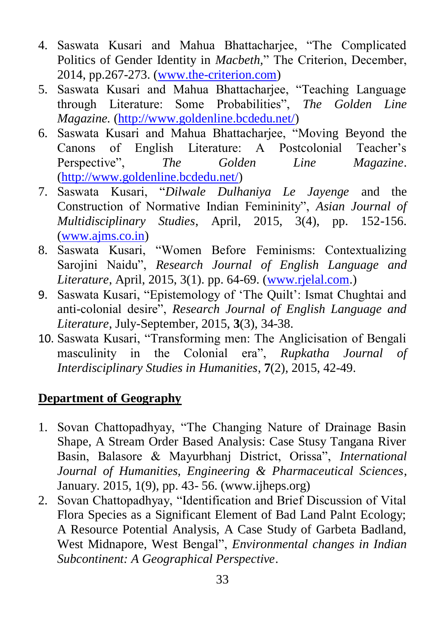- 4. Saswata Kusari and Mahua Bhattacharjee, "The Complicated Politics of Gender Identity in *Macbeth,*" The Criterion, December, 2014, pp.267-273. [\(www.the-criterion.com\)](http://www.the-criterion.com/)
- 5. Saswata Kusari and Mahua Bhattacharjee, "Teaching Language through Literature: Some Probabilities", *The Golden Line Magazine.* [\(http://www.goldenline.bcdedu.net/\)](http://www.goldenline.bcdedu.net/)
- 6. Saswata Kusari and Mahua Bhattacharjee, "Moving Beyond the Canons of English Literature: A Postcolonial Teacher"s Perspective", *The Golden Line Magazine*. [\(http://www.goldenline.bcdedu.net/\)](http://www.goldenline.bcdedu.net/)
- 7. Saswata Kusari, "*Dilwale Dulhaniya Le Jayenge* and the Construction of Normative Indian Femininity", *Asian Journal of Multidisciplinary Studies*, April, 2015, 3(4), pp. 152-156. [\(www.ajms.co.in\)](http://www.ajms.co.in/)
- 8. Saswata Kusari, "Women Before Feminisms: Contextualizing Sarojini Naidu", *Research Journal of English Language and Literature*, April, 2015, 3(1). pp. 64-69. [\(www.rjelal.com.](http://www.rjelal.com/))
- 9. Saswata Kusari, "Epistemology of 'The Quilt': Ismat Chughtai and anti-colonial desire", *Research Journal of English Language and Literature*, July-September, 2015, **3**(3), 34-38.
- 10. Saswata Kusari, "Transforming men: The Anglicisation of Bengali masculinity in the Colonial era", *Rupkatha Journal of Interdisciplinary Studies in Humanities*, **7**(2), 2015, 42-49.

# **Department of Geography**

- 1. Sovan Chattopadhyay, "The Changing Nature of Drainage Basin Shape, A Stream Order Based Analysis: Case Stusy Tangana River Basin, Balasore & Mayurbhanj District, Orissa", *International Journal of Humanities, Engineering & Pharmaceutical Sciences*, January. 2015, 1(9), pp. 43- 56. (www.ijheps.org)
- 2. Sovan Chattopadhyay, "Identification and Brief Discussion of Vital Flora Species as a Significant Element of Bad Land Palnt Ecology; A Resource Potential Analysis, A Case Study of Garbeta Badland, West Midnapore, West Bengal", *Environmental changes in Indian Subcontinent: A Geographical Perspective*.